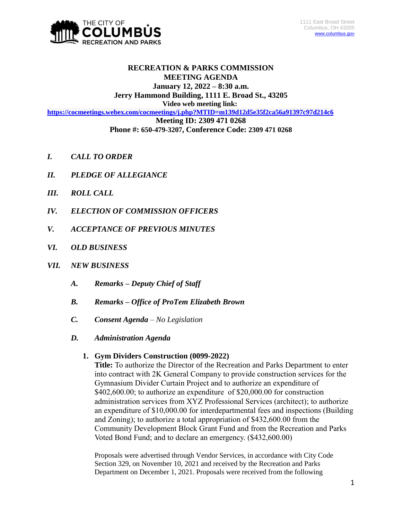

### **RECREATION & PARKS COMMISSION MEETING AGENDA January 12, 2022 – 8:30 a.m.**

# **Jerry Hammond Building, 1111 E. Broad St., 43205**

**Video web meeting link:**

**<https://cocmeetings.webex.com/cocmeetings/j.php?MTID=m139d12d5e35f2ca56a91397c97d214c6>**

**Meeting ID: 2309 471 0268**

- **Phone #: 650-479-3207, Conference Code: 2309 471 0268**
- *I. CALL TO ORDER*
- *II. PLEDGE OF ALLEGIANCE*
- *III. ROLL CALL*
- *IV. ELECTION OF COMMISSION OFFICERS*
- *V. ACCEPTANCE OF PREVIOUS MINUTES*
- *VI. OLD BUSINESS*
- *VII. NEW BUSINESS*
	- *A. Remarks – Deputy Chief of Staff*
	- *B. Remarks – Office of ProTem Elizabeth Brown*
	- *C. Consent Agenda – No Legislation*
	- *D. Administration Agenda*

# **1. Gym Dividers Construction (0099-2022)**

**Title:** To authorize the Director of the Recreation and Parks Department to enter into contract with 2K General Company to provide construction services for the Gymnasium Divider Curtain Project and to authorize an expenditure of \$402,600.00; to authorize an expenditure of \$20,000.00 for construction administration services from XYZ Professional Services (architect); to authorize an expenditure of \$10,000.00 for interdepartmental fees and inspections (Building and Zoning); to authorize a total appropriation of \$432,600.00 from the Community Development Block Grant Fund and from the Recreation and Parks Voted Bond Fund; and to declare an emergency. (\$432,600.00)

Proposals were advertised through Vendor Services, in accordance with City Code Section 329, on November 10, 2021 and received by the Recreation and Parks Department on December 1, 2021. Proposals were received from the following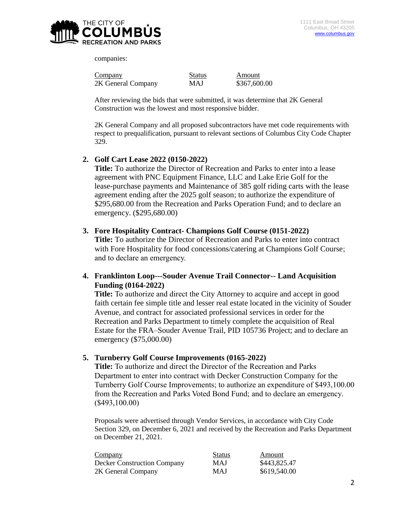

companies:

| Company            | <b>Status</b> | Amount       |
|--------------------|---------------|--------------|
| 2K General Company | MAJ           | \$367,600.00 |

After reviewing the bids that were submitted, it was determine that 2K General Construction was the lowest and most responsive bidder.

2K General Company and all proposed subcontractors have met code requirements with respect to prequalification, pursuant to relevant sections of Columbus City Code Chapter 329.

### **2. Golf Cart Lease 2022 (0150-2022)**

**Title:** To authorize the Director of Recreation and Parks to enter into a lease agreement with PNC Equipment Finance, LLC and Lake Erie Golf for the lease-purchase payments and Maintenance of 385 golf riding carts with the lease agreement ending after the 2025 golf season; to authorize the expenditure of \$295,680.00 from the Recreation and Parks Operation Fund; and to declare an emergency. (\$295,680.00)

#### **3. Fore Hospitality Contract- Champions Golf Course (0151-2022)**

**Title:** To authorize the Director of Recreation and Parks to enter into contract with Fore Hospitality for food concessions/catering at Champions Golf Course; and to declare an emergency.

## **4. Franklinton Loop---Souder Avenue Trail Connector-- Land Acquisition Funding (0164-2022)**

**Title:** To authorize and direct the City Attorney to acquire and accept in good faith certain fee simple title and lesser real estate located in the vicinity of Souder Avenue, and contract for associated professional services in order for the Recreation and Parks Department to timely complete the acquisition of Real Estate for the FRA–Souder Avenue Trail, PID 105736 Project; and to declare an emergency (\$75,000.00)

### **5. Turnberry Golf Course Improvements (0165-2022)**

**Title:** To authorize and direct the Director of the Recreation and Parks Department to enter into contract with Decker Construction Company for the Turnberry Golf Course Improvements; to authorize an expenditure of \$493,100.00 from the Recreation and Parks Voted Bond Fund; and to declare an emergency. (\$493,100.00)

Proposals were advertised through Vendor Services, in accordance with City Code Section 329, on December 6, 2021 and received by the Recreation and Parks Department on December 21, 2021.

| Company                            | <b>Status</b> | Amount       |
|------------------------------------|---------------|--------------|
| <b>Decker Construction Company</b> | <b>MAJ</b>    | \$443,825.47 |
| 2K General Company                 | <b>MAJ</b>    | \$619,540.00 |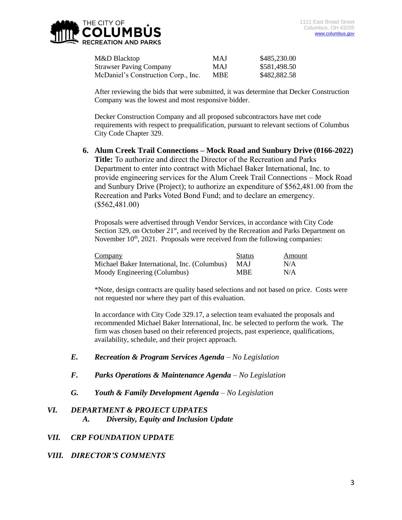

| M&D Blacktop                        | <b>MAJ</b> | \$485,230.00 |
|-------------------------------------|------------|--------------|
| <b>Strawser Paving Company</b>      | <b>MAJ</b> | \$581,498.50 |
| McDaniel's Construction Corp., Inc. | MBE        | \$482,882.58 |

After reviewing the bids that were submitted, it was determine that Decker Construction Company was the lowest and most responsive bidder.

Decker Construction Company and all proposed subcontractors have met code requirements with respect to prequalification, pursuant to relevant sections of Columbus City Code Chapter 329.

**6. Alum Creek Trail Connections – Mock Road and Sunbury Drive (0166-2022) Title:** To authorize and direct the Director of the Recreation and Parks Department to enter into contract with Michael Baker International, Inc. to provide engineering services for the Alum Creek Trail Connections – Mock Road and Sunbury Drive (Project); to authorize an expenditure of \$562,481.00 from the Recreation and Parks Voted Bond Fund; and to declare an emergency. (\$562,481.00)

Proposals were advertised through Vendor Services, in accordance with City Code Section 329, on October  $21<sup>st</sup>$ , and received by the Recreation and Parks Department on November  $10<sup>th</sup>$ , 2021. Proposals were received from the following companies:

| Company                                      | <b>Status</b> | Amount |
|----------------------------------------------|---------------|--------|
| Michael Baker International, Inc. (Columbus) | MAJ           | N/A    |
| Moody Engineering (Columbus)                 | <b>MBE</b>    | N/A    |

\*Note, design contracts are quality based selections and not based on price. Costs were not requested nor where they part of this evaluation.

In accordance with City Code 329.17, a selection team evaluated the proposals and recommended Michael Baker International, Inc. be selected to perform the work. The firm was chosen based on their referenced projects, past experience, qualifications, availability, schedule, and their project approach.

- *E. Recreation & Program Services Agenda – No Legislation*
- *F. Parks Operations & Maintenance Agenda – No Legislation*
- *G. Youth & Family Development Agenda – No Legislation*

### *VI. DEPARTMENT & PROJECT UDPATES*

- *A. Diversity, Equity and Inclusion Update*
- *VII. CRP FOUNDATION UPDATE*
- *VIII. DIRECTOR'S COMMENTS*